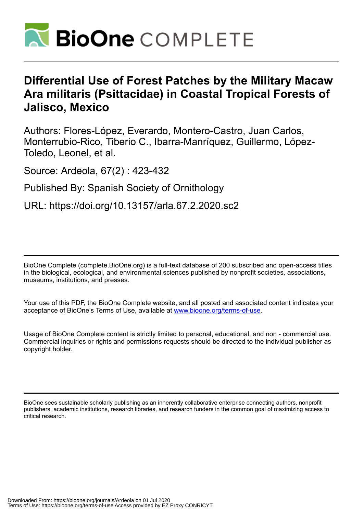

# **Differential Use of Forest Patches by the Military Macaw Ara militaris (Psittacidae) in Coastal Tropical Forests of Jalisco, Mexico**

Authors: Flores-López, Everardo, Montero-Castro, Juan Carlos, Monterrubio-Rico, Tiberio C., Ibarra-Manríquez, Guillermo, López-Toledo, Leonel, et al.

Source: Ardeola, 67(2) : 423-432

Published By: Spanish Society of Ornithology

URL: https://doi.org/10.13157/arla.67.2.2020.sc2

BioOne Complete (complete.BioOne.org) is a full-text database of 200 subscribed and open-access titles in the biological, ecological, and environmental sciences published by nonprofit societies, associations, museums, institutions, and presses.

Your use of this PDF, the BioOne Complete website, and all posted and associated content indicates your acceptance of BioOne's Terms of Use, available at www.bioone.org/terms-of-use.

Usage of BioOne Complete content is strictly limited to personal, educational, and non - commercial use. Commercial inquiries or rights and permissions requests should be directed to the individual publisher as copyright holder.

BioOne sees sustainable scholarly publishing as an inherently collaborative enterprise connecting authors, nonprofit publishers, academic institutions, research libraries, and research funders in the common goal of maximizing access to critical research.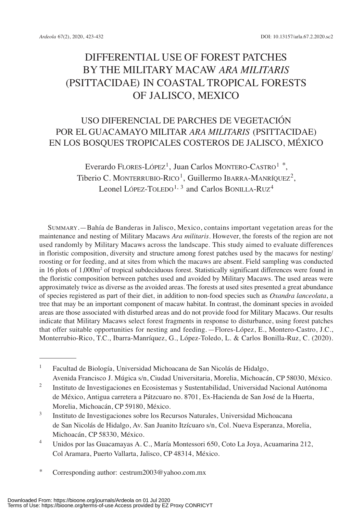# DIFFERENtIAL USE OF FORESt PAtCHES By tHE MILItARy MACAw *ARA MILITARIS* (PSITTACIDAE) IN COASTAL TROPICAL FORESTS OF JALISCO, MExICO

# USO DIFERENCIAL DE PARCHES DE VEGEtACIóN POR EL GUACAMAyO MILItAR *ARA MILITARIS* (PSIttACIDAE) EN LOS BOSqUES tROPICALES COStEROS DE JALISCO, MéxICO

Everardo Flores-López<sup>1</sup>, Juan Carlos Montero-Castro<sup>1</sup> \*, Tiberio C. Monterrubio-Rico<sup>1</sup>, Guillermo Ibarra-Manríquez<sup>2</sup>, Leonel López-TOLEDO<sup>1, 3</sup> and Carlos BONILLA-RUZ<sup>4</sup>

SUMMARy.—Bahía de Banderas in Jalisco, Mexico, contains important vegetation areas for the maintenance and nesting of Military Macaws *Ara militaris*. However, the forests of the region are not used randomly by Military Macaws across the landscape. This study aimed to evaluate differences in floristic composition, diversity and structure among forest patches used by the macaws for nesting/ roosting or for feeding, and at sites from which the macaws are absent. Field sampling was conducted in 16 plots of 1,000m<sup>2</sup> of tropical subdeciduous forest. Statistically significant differences were found in the floristic composition between patches used and avoided by Military Macaws. the used areas were approximately twice as diverse as the avoided areas. the forests at used sites presented a great abundance of species registered as part of their diet, in addition to non-food species such as *Oxandra lanceolata*, a tree that may be an important component of macaw habitat. In contrast, the dominant species in avoided areas are those associated with disturbed areas and do not provide food for Military Macaws. Our results indicate that Military Macaws select forest fragments in response to disturbance, using forest patches that offer suitable opportunities for nesting and feeding.—Flores-López, E., Montero-Castro, J.C., Monterrubio-Rico, T.C., Ibarra-Manríquez, G., López-Toledo, L. & Carlos Bonilla-Ruz, C. (2020).

<sup>1</sup> Facultad de Biología, Universidad Michoacana de San Nicolás de Hidalgo, Avenida Francisco J. Múgica s/n, Ciudad Universitaria, Morelia, Michoacán, CP 58030, México.

<sup>3</sup> Instituto de Investigaciones sobre los Recursos Naturales, Universidad Michoacana de San Nicolás de Hidalgo, Av. San Juanito Itzícuaro s/n, Col. Nueva Esperanza, Morelia, Michoacán, CP 58330, México.

<sup>4</sup> Unidos por las Guacamayas A. C., María Montessori 650, Coto La Joya, Acuamarina 212, Col Aramara, Puerto Vallarta, Jalisco, CP 48314, México.

<sup>2</sup> Instituto de Investigaciones en Ecosistemas y Sustentabilidad, Universidad Nacional Autónoma de México, Antigua carretera a Pátzcuaro no. 8701, Ex-Hacienda de San José de la Huerta, Morelia, Michoacán, CP 59180, México.

<sup>\*</sup> Corresponding author: cestrum2003@yahoo.com.mx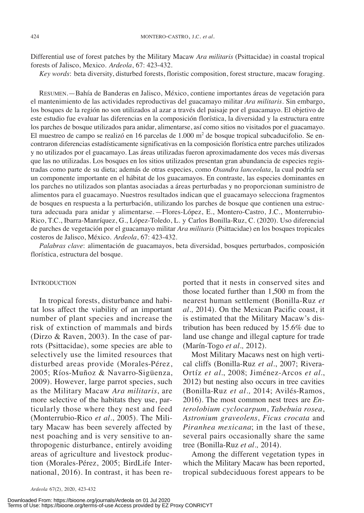Differential use of forest patches by the Military Macaw *Ara militaris* (Psittacidae) in coastal tropical forests of Jalisco, Mexico. *Ardeola*, 67: 423-432.

*Key words*: beta diversity, disturbed forests, floristic composition, forest structure, macaw foraging.

RESUMEN.—Bahía de Banderas en Jalisco, México, contiene importantes áreas de vegetación para el mantenimiento de las actividades reproductivas del guacamayo militar *Ara militaris.* Sin embargo, los bosques de la región no son utilizados al azar a través del paisaje por el guacamayo. El objetivo de este estudio fue evaluar las diferencias en la composición florística, la diversidad y la estructura entre los parches de bosque utilizados para anidar, alimentarse, así como sitios no visitados por el guacamayo. El muestreo de campo se realizó en 16 parcelas de 1.000 m<sup>2</sup> de bosque tropical subcaducifolio. Se encontraron diferencias estadísticamente significativas en la composición florística entre parches utilizados y no utilizados por el guacamayo. Las áreas utilizadas fueron aproximadamente dos veces más diversas que las no utilizadas. Los bosques en los sitios utilizados presentan gran abundancia de especies registradas como parte de su dieta; además de otras especies, como *Oxandra lanceolata*, la cual podría ser un componente importante en el hábitat de los guacamayos. En contraste, las especies dominantes en los parches no utilizados son plantas asociadas a áreas perturbadas y no proporcionan suministro de alimentos para el guacamayo. Nuestros resultados indican que el guacamayo selecciona fragmentos de bosques en respuesta a la perturbación, utilizando los parches de bosque que contienen una estructura adecuada para anidar y alimentarse.—Flores-López, E., Montero-Castro, J.C., Monterrubio-Rico, T.C., Ibarra-Manríquez, G., López-Toledo, L. y Carlos Bonilla-Ruz, C. (2020). Uso diferencial de parches de vegetación por el guacamayo militar *Ara militaris* (Psittacidae) en los bosques tropicales costeros de Jalisco, México. *Ardeola*, 67: 423-432.

*Palabras clave*: alimentación de guacamayos, beta diversidad, bosques perturbados, composición florística, estructura del bosque.

# **INTRODUCTION**

In tropical forests, disturbance and habitat loss affect the viability of an important number of plant species and increase the risk of extinction of mammals and birds (Dirzo & Raven, 2003). In the case of parrots (Psittacidae), some species are able to selectively use the limited resources that disturbed areas provide (Morales-Pérez, 2005; Ríos-Muñoz & Navarro-Sigüenza, 2009). However, large parrot species, such as the Military Macaw *Ara militaris*, are more selective of the habitats they use, particularly those where they nest and feed (Monterrubio-Rico et al., 2005). The Military Macaw has been severely affected by nest poaching and is very sensitive to anthropogenic disturbance, entirely avoiding areas of agriculture and livestock production (Morales-Pérez, 2005; BirdLife International, 2016). In contrast, it has been reported that it nests in conserved sites and those located further than 1,500 m from the nearest human settlement (Bonilla-Ruz *et al.,* 2014). On the Mexican Pacific coast, it is estimated that the Military Macaw's distribution has been reduced by 15.6% due to land use change and illegal capture for trade (Marín-togo *et al.,* 2012).

Most Military Macaws nest on high vertical cliffs (Bonilla-Ruz *et al.*, 2007; Rivera-Ortíz *et al*., 2008; Jiménez-Arcos *et al*., 2012) but nesting also occurs in tree cavities (Bonilla-Ruz *et al.,* 2014; Avilés-Ramos, 2016). the most common nest trees are *Enterolobium cyclocarpum*, *Tabebuia rosea*, *Astronium graveolens*, *Ficus crocata* and *Piranhea mexicana*; in the last of these, several pairs occasionally share the same tree (Bonilla-Ruz *et al.,* 2014).

Among the different vegetation types in which the Military Macaw has been reported, tropical subdeciduous forest appears to be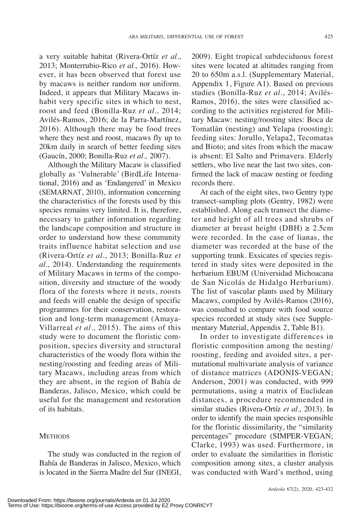a very suitable habitat (Rivera-Ortíz *et al*., 2013; Monterrubio-Rico *et al.,* 2016). However, it has been observed that forest use by macaws is neither random nor uniform. Indeed, it appears that Military Macaws inhabit very specific sites in which to nest, roost and feed (Bonilla-Ruz *et al.,* 2014; Avilés-Ramos, 2016; de la Parra-Martínez, 2016). Although there may be food trees where they nest and roost, macaws fly up to 20km daily in search of better feeding sites (Gaucín, 2000; Bonilla-Ruz *et al*.*,* 2007).

Although the Military Macaw is classified globally as 'Vulnerable' (BirdLife International, 2016) and as 'Endangered' in Mexico (SEMARNAt, 2010), information concerning the characteristics of the forests used by this species remains very limited. It is, therefore, necessary to gather information regarding the landscape composition and structure in order to understand how these community traits influence habitat selection and use (Rivera-Ortíz *et al*., 2013; Bonilla-Ruz *et al*., 2014). Understanding the requirements of Military Macaws in terms of the composition, diversity and structure of the woody flora of the forests where it nests, roosts and feeds will enable the design of specific programmes for their conservation, restoration and long-term management (Amaya-Villarreal *et al.*, 2015). The aims of this study were to document the floristic composition, species diversity and structural characteristics of the woody flora within the nesting/roosting and feeding areas of Military Macaws, including areas from which they are absent, in the region of Bahía de Banderas, Jalisco, Mexico, which could be useful for the management and restoration of its habitats.

# **METHODS**

2009). Eight tropical subdeciduous forest sites were located at altitudes ranging from 20 to 650m a.s.l. (Supplementary Material, Appendix 1, Figure A1)*.* Based on previous studies (Bonilla-Ruz *et al*., 2014; Avilés-Ramos, 2016), the sites were classified according to the activities registered for Military Macaw: nesting/roosting sites: Boca de Tomatlán (nesting) and Yelapa (roosting); feeding sites: Jorullo, Yelapa2, Tecomatas and Bioto; and sites from which the macaw is absent: El Salto and Primavera. Elderly settlers, who live near the last two sites, confirmed the lack of macaw nesting or feeding records there.

At each of the eight sites, two Gentry type transect-sampling plots (Gentry, 1982) were established. Along each transect the diameter and height of all trees and shrubs of diameter at breast height (DBH)  $\geq$  2.5cm were recorded. In the case of lianas, the diameter was recorded at the base of the supporting trunk. Exsicates of species registered in study sites were deposited in the herbarium EBUM (Universidad Michoacana de San Nicolás de Hidalgo Herbarium). The list of vascular plants used by Military Macaws, compiled by Avilés-Ramos (2016), was consulted to compare with food source species recorded at study sites (see Supplementary Material, Appendix 2, Table B1).

In order to investigate differences in floristic composition among the nesting/ roosting, feeding and avoided sites, a permutational multivariate analysis of variance of distance matrices (ADONIS-VEGAN; Anderson, 2001) was conducted, with 999 permutations, using a matrix of Euclidean distances, a procedure recommended in similar studies (Rivera-Ortíz *et al.,* 2013). In order to identify the main species responsible for the floristic dissimilarity, the "similarity percentages" procedure (SIMPER-VEGAN; Clarke, 1993) was used. Furthermore, in order to evaluate the similarities in floristic composition among sites, a cluster analysis was conducted with ward's method, using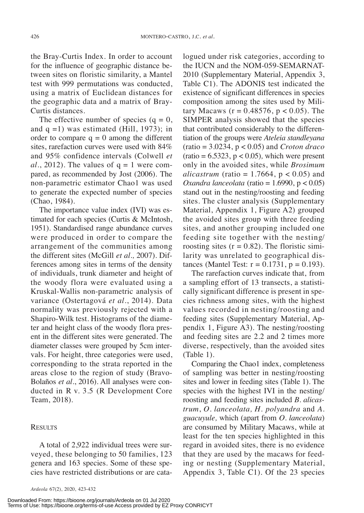the Bray-Curtis Index. In order to account for the influence of geographic distance between sites on floristic similarity, a Mantel test with 999 permutations was conducted, using a matrix of Euclidean distances for the geographic data and a matrix of Bray-Curtis distances.

The effective number of species  $(q = 0,$ and  $q = 1$ ) was estimated (Hill, 1973); in order to compare  $q = 0$  among the different sites, rarefaction curves were used with 84% and 95% confidence intervals (Colwell *et*  $al., 2012$ ). The values of  $q = 1$  were compared, as recommended by Jost (2006). The non-parametric estimator Chao1 was used to generate the expected number of species (Chao, 1984).

The importance value index (IVI) was estimated for each species (Curtis & McIntosh, 1951). Standardised range abundance curves were produced in order to compare the arrangement of the communities among the different sites (McGill *et al.,* 2007). Differences among sites in terms of the density of individuals, trunk diameter and height of the woody flora were evaluated using a Kruskal-wallis non-parametric analysis of variance (Ostertagová *et al.*, 2014). Data normality was previously rejected with a Shapiro-wilk test. Histograms of the diameter and height class of the woody flora present in the different sites were generated. The diameter classes were grouped by 5cm intervals. For height, three categories were used, corresponding to the strata reported in the areas close to the region of study (Bravo-Bolaños *et al*., 2016). All analyses were conducted in R v. 3.5 (R Development Core Team, 2018).

### **RESULTS**

A total of 2,922 individual trees were surveyed, these belonging to 50 families, 123 genera and 163 species. Some of these species have restricted distributions or are cata-

logued under risk categories, according to the IUCN and the NOM-059-SEMARNAt-2010 (Supplementary Material, Appendix 3, Table C1). The ADONIS test indicated the existence of significant differences in species composition among the sites used by Military Macaws ( $r = 0.48576$ ,  $p < 0.05$ ). The SIMPER analysis showed that the species that contributed considerably to the differentiation of the groups were *Ateleia standleyana* (ratio = 3.0234, p < 0.05) and *Croton draco*  $(ratio = 6.5323, p < 0.05)$ , which were present only in the avoided sites, while *Brosimum alicastrum* (ratio =  $1.7664$ ,  $p < 0.05$ ) and *Oxandra lanceolata* (ratio = 1.6990, p < 0.05) stand out in the nesting/roosting and feeding sites. The cluster analysis (Supplementary Material, Appendix 1, Figure A2) grouped the avoided sites group with three feeding sites, and another grouping included one feeding site together with the nesting/ roosting sites  $(r = 0.82)$ . The floristic similarity was unrelated to geographical distances (Mantel Test:  $r = 0.1731$ ,  $p = 0.193$ ).

The rarefaction curves indicate that, from a sampling effort of 13 transects, a statistically significant difference is present in species richness among sites, with the highest values recorded in nesting/roosting and feeding sites (Supplementary Material, Appendix 1, Figure  $A3$ ). The nesting/roosting and feeding sites are 2.2 and 2 times more diverse, respectively, than the avoided sites  $(Table 1)$ .

Comparing the Chao1 index, completeness of sampling was better in nesting/roosting sites and lower in feeding sites (Table 1). The species with the highest IVI in the nesting/ roosting and feeding sites included *B. alicastrum*, *O. lanceolata, H. polyandra* and *A. guacuyule,* which (apart from *O. lanceolata*) are consumed by Military Macaws, while at least for the ten species highlighted in this regard in avoided sites, there is no evidence that they are used by the macaws for feeding or nesting (Supplementary Material, Appendix 3, Table C1). Of the 23 species

Downloaded From: https://bioone.org/journals/Ardeola on 01 Jul 2020 Terms of Use: https://bioone.org/terms-of-use Access provided by EZ Proxy CONRICYT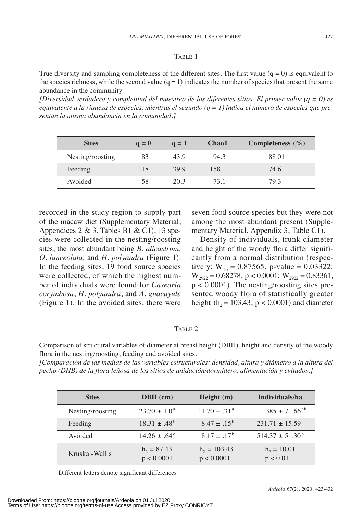## TABLE 1

True diversity and sampling completeness of the different sites. The first value ( $q = 0$ ) is equivalent to the species richness, while the second value  $(q = 1)$  indicates the number of species that present the same abundance in the community.

*[Diversidad verdadera y completitud del muestreo de los diferentes sitios. El primer valor (q = 0) es* equivalente a la riqueza de especies, mientras el segundo  $(q = 1)$  indica el número de especies que pre*sentan la misma abundancia en la comunidad.]*

| <b>Sites</b>     | $q=0$ | $q = 1$ | Chao1 | Completeness $(\% )$ |
|------------------|-------|---------|-------|----------------------|
| Nesting/roosting | 83    | 43.9    | 94.3  | 88.01                |
| Feeding          | 118   | 39.9    | 158.1 | 74.6                 |
| Avoided          | 58    | 20.3    | 73.1  | 79.3                 |

recorded in the study region to supply part of the macaw diet (Supplementary Material, Appendices 2 & 3, Tables B1 & C1), 13 species were collected in the nesting/roosting sites, the most abundant being *B. alicastrum, O. lanceolata,* and *H. polyandra* (Figure 1). In the feeding sites, 19 food source species were collected, of which the highest number of individuals were found for *Casearia corymbosa*, *H. polyandra*, and *A. guacuyule* (Figure 1). In the avoided sites, there were seven food source species but they were not among the most abundant present (Supplementary Material, Appendix 3, Table C1).

Density of individuals, trunk diameter and height of the woody flora differ significantly from a normal distribution (respectively:  $W_{16} = 0.87565$ , p-value = 0.03322;  $W_{2922} = 0.68278$ , p < 0.0001;  $W_{2922} = 0.83361$ ,  $p < 0.0001$ ). The nesting/roosting sites presented woody flora of statistically greater height (h<sub>2</sub> = 103.43, p < 0.0001) and diameter

# TABLE 2

Comparison of structural variables of diameter at breast height (DBH), height and density of the woody flora in the nesting/roosting, feeding and avoided sites.

*[Comparación de las medias de las variables estructurales: densidad, altura y diámetro a la altura del pecho (DHB) de la flora leñosa de los sitios de anidación/dormidero, alimentación y evitados.]*

| <b>Sites</b>     | $DBH$ (cm)                  | Height(m)                    | Individuals/ha              |
|------------------|-----------------------------|------------------------------|-----------------------------|
| Nesting/roosting | $23.70 \pm 1.0^{\circ}$     | $11.70 \pm .31^{\circ}$      | $385 \pm 71.66^{\text{ab}}$ |
| Feeding          | $18.31 \pm .48^{\rm b}$     | $8.47 \pm .15^{b}$           | $231.71 \pm 15.59^{\circ}$  |
| Avoided          | $14.26 \pm .64^{\circ}$     | $8.17 \pm .17^{\rm b}$       | $514.37 \pm 51.30^b$        |
| Kruskal-Wallis   | $h_2 = 87.43$<br>p < 0.0001 | $h_2 = 103.43$<br>p < 0.0001 | $h_2 = 10.01$<br>p < 0.01   |

Different letters denote significant differences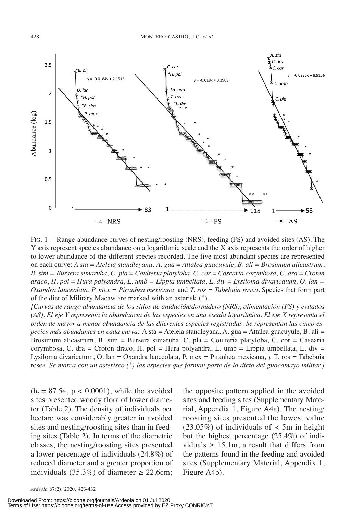

FIG. 1.—Range-abundance curves of nesting/roosting (NRS), feeding (FS) and avoided sites (AS). The y axis represent species abundance on a logarithmic scale and the x axis represents the order of higher to lower abundance of the different species recorded. the five most abundant species are represented on each curve: *A sta* = *Ateleia standleyana, A. gua* = *Attalea guacuyule, B. ali = Brosimum alicastrum*, *B. sim = Bursera simaruba*, *C. pla* = *Coulteria platyloba*, *C. cor* = *Casearia corymbosa*, *C. dra* = *Croton draco*, *H. pol* = *Hura polyandra*, *L. umb = Lippia umbellata*, *L. div* = *Lysiloma divaricatum, O. lan = Oxandra lanceolata*, *P. mex = Piranhea mexicana,* and *T. ros = Tabebuia rosea.* Species that form part of the diet of Military Macaw are marked with an asterisk (\*).

*[Curvas de rango abundancia de los sitios de anidación/dormidero (NRS), alimentación (FS) y evitados* (AS). El eje Y representa la abundancia de las especies en una escala logarítmica. El eje X representa el *orden de mayor a menor abundancia de las diferentes especies registradas. Se representan las cinco especies más abundantes en cada curva:* A sta = Ateleia standleyana, A. gua = Attalea guacuyule, B. ali = Brosimum alicastrum, B. sim = Bursera simaruba, C. pla = Coulteria platyloba, C. cor = Casearia corymbosa, C. dra = Croton draco, H. pol = Hura polyandra, L. umb = Lippia umbellata, L. div = Lysiloma divaricatum, O. lan = Oxandra lanceolata, P. mex = Piranhea mexicana, *y* T. ros = Tabebuia rosea. Se marca con un asterisco (\*) las especies que forman parte de la dieta del guacamayo militar.]

 $(h_2 = 87.54, p < 0.0001)$ , while the avoided sites presented woody flora of lower diameter (Table 2). The density of individuals per hectare was considerably greater in avoided sites and nesting/roosting sites than in feeding sites (Table 2). In terms of the diametric classes, the nesting/roosting sites presented a lower percentage of individuals (24.8%) of reduced diameter and a greater proportion of individuals (35.3%) of diameter  $\geq$  22.6cm;

the opposite pattern applied in the avoided sites and feeding sites (Supplementary Material, Appendix 1, Figure A4a). The nesting/ roosting sites presented the lowest value  $(23.05\%)$  of individuals of  $\lt$  5m in height but the highest percentage (25.4%) of individuals  $\geq 15.1$ m, a result that differs from the patterns found in the feeding and avoided sites (Supplementary Material, Appendix 1, Figure A4b).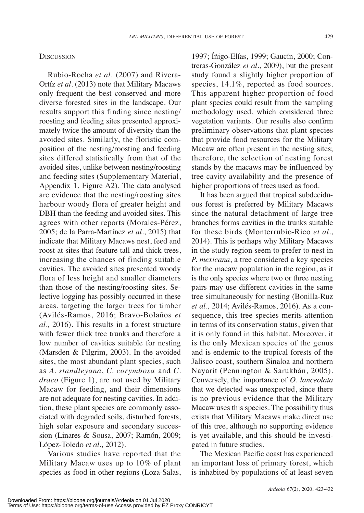### **DISCUSSION**

Rubio-Rocha *et al*. (2007) and Rivera-Ortíz *et al*. (2013) note that Military Macaws only frequent the best conserved and more diverse forested sites in the landscape. Our results support this finding since nesting/ roosting and feeding sites presented approximately twice the amount of diversity than the avoided sites. Similarly, the floristic composition of the nesting/roosting and feeding sites differed statistically from that of the avoided sites, unlike between nesting/roosting and feeding sites (Supplementary Material, Appendix 1, Figure  $A2$ ). The data analysed are evidence that the nesting/roosting sites harbour woody flora of greater height and DBH than the feeding and avoided sites. This agrees with other reports (Morales-Pérez, 2005; de la Parra-Martínez *et al.*, 2015) that indicate that Military Macaws nest, feed and roost at sites that feature tall and thick trees, increasing the chances of finding suitable cavities. The avoided sites presented woody flora of less height and smaller diameters than those of the nesting/roosting sites. Selective logging has possibly occurred in these areas, targeting the larger trees for timber (Avilés-Ramos, 2016; Bravo-Bolaños *et al.,* 2016). this results in a forest structure with fewer thick tree trunks and therefore a low number of cavities suitable for nesting (Marsden & Pilgrim, 2003). In the avoided sites, the most abundant plant species, such as *A. standleyana*, *C. corymbosa* and *C. draco* (Figure 1), are not used by Military Macaw for feeding, and their dimensions are not adequate for nesting cavities. In addition, these plant species are commonly associated with degraded soils, disturbed forests, high solar exposure and secondary succession (Linares & Sousa, 2007; Ramón, 2009; López-toledo *et al.,* 2012).

Various studies have reported that the Military Macaw uses up to 10% of plant species as food in other regions (Loza-Salas, 1997; íñigo-Elías, 1999; Gaucín, 2000; Contreras-González *et al*., 2009), but the present study found a slightly higher proportion of species,  $14.1\%$ , reported as food sources. This apparent higher proportion of food plant species could result from the sampling methodology used, which considered three vegetation variants. Our results also confirm preliminary observations that plant species that provide food resources for the Military Macaw are often present in the nesting sites; therefore, the selection of nesting forest stands by the macaws may be influenced by tree cavity availability and the presence of higher proportions of trees used as food.

It has been argued that tropical subdeciduous forest is preferred by Military Macaws since the natural detachment of large tree branches forms cavities in the trunks suitable for these birds (Monterrubio-Rico *et al.*, 2014). This is perhaps why Military Macaws in the study region seem to prefer to nest in *P. mexicana*, a tree considered a key species for the macaw population in the region, as it is the only species where two or three nesting pairs may use different cavities in the same tree simultaneously for nesting (Bonilla-Ruz *et al.,* 2014; Avilés-Ramos, 2016). As a consequence, this tree species merits attention in terms of its conservation status, given that it is only found in this habitat. Moreover, it is the only Mexican species of the genus and is endemic to the tropical forests of the Jalisco coast, southern Sinaloa and northern Nayarit (Pennington & Sarukhán, 2005). Conversely, the importance of *O. lanceolata* that we detected was unexpected, since there is no previous evidence that the Military Macaw uses this species. The possibility thus exists that Military Macaws make direct use of this tree, although no supporting evidence is yet available, and this should be investigated in future studies.

The Mexican Pacific coast has experienced an important loss of primary forest, which is inhabited by populations of at least seven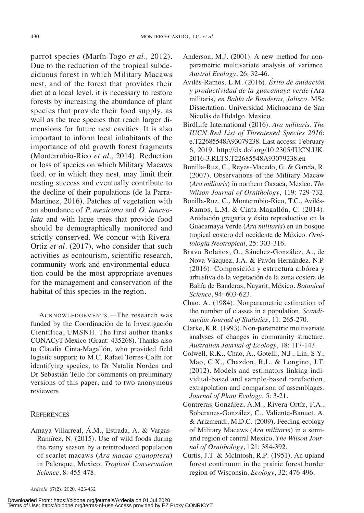parrot species (Marín-Togo *et al.*, 2012). Due to the reduction of the tropical subdeciduous forest in which Military Macaws nest, and of the forest that provides their diet at a local level, it is necessary to restore forests by increasing the abundance of plant species that provide their food supply, as well as the tree species that reach larger dimensions for future nest cavities. It is also important to inform local inhabitants of the importance of old growth forest fragments (Monterrubio-Rico *et al.*, 2014). Reduction or loss of species on which Military Macaws feed, or in which they nest*,* may limit their nesting success and eventually contribute to the decline of their populations (de la Parra-Martínez, 2016). Patches of vegetation with an abundance of *P. mexicana* and *O. lanceolata* and with large trees that provide food should be demographically monitored and strictly conserved. we concur with Rivera-Ortiz *et al.* (2017), who consider that such activities as ecotourism, scientific research, community work and environmental education could be the most appropriate avenues for the management and conservation of the habitat of this species in the region.

ACKNOWLEDGEMENTS.—The research was funded by the Coordinación de la Investigación Científica, UMSNH. The first author thanks CONACyT-Mexico (Grant: 435268). Thanks also to Claudia Cinta-Magallón, who provided field logistic support; to M.C. Rafael Torres-Colín for identifying species; to Dr Natalia Norden and Dr Sebastián tello for comments on preliminary versions of this paper, and to two anonymous reviewers.

# **REFERENCES**

Amaya-Villarreal, Á.M., Estrada, A. & Vargas-Ramírez, N. (2015)*.* Use of wild foods during the rainy season by a reintroduced population of scarlet macaws (*Ara macao cyanoptera*) in Palenque, Mexico. *Tropical Conservation Science*, 8: 455-478.

- Anderson, M.J. (2001). A new method for nonparametric multivariate analysis of variance. *Austral Ecology*, 26: 32-46.
- Avilés-Ramos, L.M. (2016). *Éxito de anidación y productividad de la guacamaya verde (*Ara militaris*) en Bahía de Banderas, Jalisco*. MSc Dissertation. Universidad Michoacana de San Nicolás de Hidalgo. Mexico.
- BirdLife International (2016). *Ara militaris*. *The IUCN Red List of Threatened Species 2016*: e.T22685548A93079238. Last access: February 6, 2019. http://dx.doi.org/10.2305/IUCN.UK. 2016-3.RLTS.T22685548A93079238.en
- Bonilla-Ruz, C., Reyes-Macedo, G. & García, R. (2007)*.* Observations of the Military Macaw (*Ara militaris*) in northern Oaxaca, Mexico. *The Wilson Journal of Ornithology*, 119: 729-732.
- Bonilla-Ruz, C., Monterrubio-Rico, T.C., Avilés-Ramos, L.M. & Cinta-Magallón, C. (2014)*.* Anidación gregaria y éxito reproductivo en la Guacamaya Verde (*Ara militaris*) en un bosque tropical costero del occidente de México. *Ornitología Neotropical*, 25: 303-316.
- Bravo Bolaños, O., Sánchez-González, A., de Nova Vázquez, J.A. & Pavón Hernández, N.P. (2016). Composición y estructura arbórea y arbustiva de la vegetación de la zona costera de Bahía de Banderas, Nayarit, México. *Botanical Science*, 94: 603-623.
- Chao, A. (1984). Nonparametric estimation of the number of classes in a population. *Scandinavian Journal of Statistics*, 11: 265-270.
- Clarke, K.R. (1993). Non-parametric multivariate analyses of changes in community structure. *Australian Journal of Ecology*, 18: 117-143.
- Colwell, R.K., Chao, A., Gotelli, N.J., Lin, S.y., Mao, C.X., Chazdon, R.L. & Longino, J.T. (2012). Models and estimators linking individual-based and sample-based rarefaction, extrapolation and comparison of assemblages. *Journal of Plant Ecology*, 5: 3-21.
- Contreras-González, A.M., Rivera-Ortíz, F.A., Soberanes-González, C., Valiente-Banuet, A. & Arizmendi, M.D.C. (2009). Feeding ecology of Military Macaws (*Ara militaris*) in a semiarid region of central Mexico. *The Wilson Journal of Ornithology*, 121: 384-392.
- Curtis, J.T. & McIntosh, R.P. (1951). An upland forest continuum in the prairie forest border region of wisconsin. *Ecology*, 32: 476-496.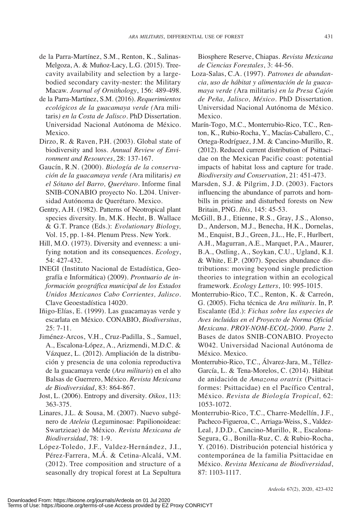# Pérez-Farrera, M.Á. & Cetina-Alcalá, V.M.  $(2012)$ . Tree composition and structure of a seasonally dry tropical forest at La Sepultura

Biosphere Reserve, Chiapas. *Revista Mexicana de Ciencias Forestales*, 3: 44-56.

- Loza-Salas, C.A. (1997). *Patrones de abundancia, uso de hábitat y alimentación de la guacamaya verde (*Ara militaris*) en la Presa Cajón de Peña, Jalisco, México*. PhD Dissertation. Universidad Nacional Autónoma de México. Mexico.
- Marín-Togo, M.C., Monterrubio-Rico, T.C., Renton, K., Rubio-Rocha, y., Macías-Caballero, C., Ortega-Rodríguez, J.M. & Cancino-Murillo, R. (2012)*.* Reduced current distribution of Psittacidae on the Mexican Pacific coast: potential impacts of habitat loss and capture for trade. *Biodiversity and Conservation*, 21: 451-473.
- Marsden, S.J. & Pilgrim, J.D*.* (2003). Factors influencing the abundance of parrots and hornbills in pristine and disturbed forests on New Britain, PNG. *Ibis*, 145: 45-53.
- McGill, B.J., Etienne, R.S., Gray, J.S., Alonso, D., Anderson, M.J., Benecha, H.K., Dornelas, M., Enquist, B.J., Green, J.L., He, F., Hurlbert, A.H., Magurran, A.E., Marquet, P.A., Maurer, B.A., Ostling, A., Soykan, C.U., Ugland, K.I. & white, E.P*.* (2007). Species abundance distributions: moving beyond single prediction theories to integration within an ecological framework. *Ecology Letters*, 10: 995-1015.
- Monterrubio-Rico, T.C., Renton, K. & Carreón, G. (2005). Ficha técnica de *Ara militaris*. In, P. Escalante (Ed.): *Fichas sobre las especies de Aves incluidas en el Proyecto de Norma Oficial Mexicana. PROY-NOM-ECOL-2000. Parte 2*. Bases de datos SNIB-CONABIO. Proyecto w042. Universidad Nacional Autónoma de México. Mexico.
- Monterrubio-Rico, T.C., Álvarez-Jara, M., Téllez-García, L. & tena-Morelos, C. (2014)*.* Hábitat de anidación de *Amazona oratrix* (Psittaciformes: Psittacidae) en el Pacífico Central, México. *Revista de Biología Tropical*, 62: 1053-1072.
- Monterrubio-Rico, T.C., Charre-Medellín, J.F., Pacheco-Figueroa, C., Arriaga-weiss, S., Valdez-Leal, J.D.D., Cancino-Murillo, R., Escalona-Segura, G., Bonilla-Ruz, C. & Rubio-Rocha, y. (2016). Distribución potencial histórica y contemporánea de la familia Psittacidae en México. *Revista Mexicana de Biodiversidad*, 87: 1103-1117.
- de la Parra-Martínez, S.M., Renton, K., Salinas-Melgoza, A. & Muñoz-Lacy, L.G. (2015). Treecavity availability and selection by a largebodied secondary cavity-nester: the Military Macaw. *Journal of Ornithology*, 156: 489-498.
- de la Parra-Martínez, S.M. (2016). *Requerimientos ecológicos de la guacamaya verde (*Ara militaris*) en la Costa de Jalisco*. PhD Dissertation. Universidad Nacional Autónoma de México. Mexico.
- Dirzo, R. & Raven, P.H*.* (2003). Global state of biodiversity and loss. *Annual Review of Environment and Resources*, 28: 137-167.
- Gaucín, R.N. (2000). *Biología de la conservación de la guacamaya verde (*Ara militaris*) en el Sótano del Barro, Querétaro*. Informe final SNIB-CONABIO proyecto No. L204. Universidad Autónoma de querétaro. Mexico.
- Gentry, A.H. (1982). Patterns of Neotropical plant species diversity. In, M.K. Hecht, B. wallace & G.t. Prance (Eds.): *Evolutionary Biology,* Vol. 15, pp. 1-84. Plenum Press. New York.
- Hill, M.O. (1973). Diversity and evenness: a unifying notation and its consequences. *Ecology*, 54: 427-432.
- INEGI (Instituto Nacional de Estadística, Geografía e Informática) (2009). *Prontuario de información geográfica municipal de los Estados Unidos Mexicanos Cabo Corrientes, Jalisco*. Clave Geoestadística 14020.
- Iñigo-Elías, E. (1999). Las guacamayas verde y escarlata en México. CONABIO, *Biodiversitas*,  $25: 7-11.$
- Jiménez-Arcos, V.H., Cruz-Padilla, S., Samuel, A., Escalona-López, A., Arizmendi, M.D.C. & Vázquez, L. (2012). Ampliación de la distribución y presencia de una colonia reproductiva de la guacamaya verde (*Ara militaris*) en el alto
- 363-375.
- Linares, J.L. & Sousa, M. (2007). Nuevo subgénero de *Ateleia* (Leguminosae: Papilionoideae: Swartzieae) de México. *Revista Mexicana de Biodiversidad*, 78: 1-9.
- López-Toledo, J.F., Valdez-Hernández, J.I.,